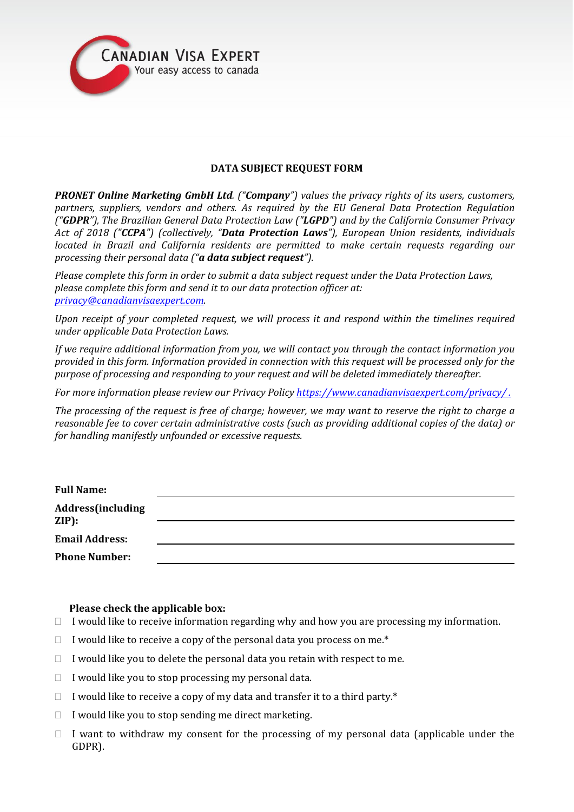

# **DATA SUBJECT REQUEST FORM**

*PRONET Online Marketing GmbH Ltd. ("Company") values the privacy rights of its users, customers, partners, suppliers, vendors and others. As required by the EU General Data Protection Regulation ("GDPR"), The Brazilian General Data Protection Law ("LGPD") and by the California Consumer Privacy Act of 2018 ("CCPA") (collectively, "Data Protection Laws"), European Union residents, individuals located in Brazil and California residents are permitted to make certain requests regarding our processing their personal data ("a data subject request").* 

*Please complete this form in order to submit a data subject request under the Data Protection Laws, please complete this form and send it to our data protection officer at: [privacy@canadianvisaexpert.com.](mailto:privacy@canadianvisaexpert.com)* 

*Upon receipt of your completed request, we will process it and respond within the timelines required under applicable Data Protection Laws.* 

*If we require additional information from you, we will contact you through the contact information you provided in this form. Information provided in connection with this request will be processed only for the purpose of processing and responding to your request and will be deleted immediately thereafter.* 

*For more information please review our Privacy Policy <https://www.canadianvisaexpert.com/privacy/> .*

*The processing of the request is free of charge; however, we may want to reserve the right to charge a reasonable fee to cover certain administrative costs (such as providing additional copies of the data) or for handling manifestly unfounded or excessive requests.*

| <b>Full Name:</b>                     |  |
|---------------------------------------|--|
| Address(including<br>$\mathbf{ZIP}$ : |  |
|                                       |  |
| <b>Email Address:</b>                 |  |
| <b>Phone Number:</b>                  |  |
|                                       |  |

### **Please check the applicable box:**

- $\Box$  I would like to receive information regarding why and how you are processing my information.
- $\Box$  I would like to receive a copy of the personal data you process on me.\*
- $\Box$  I would like you to delete the personal data you retain with respect to me.
- $\Box$  I would like you to stop processing my personal data.
- $\Box$  I would like to receive a copy of my data and transfer it to a third party.\*
- $\Box$  I would like you to stop sending me direct marketing.
- $\Box$  I want to withdraw my consent for the processing of my personal data (applicable under the GDPR).